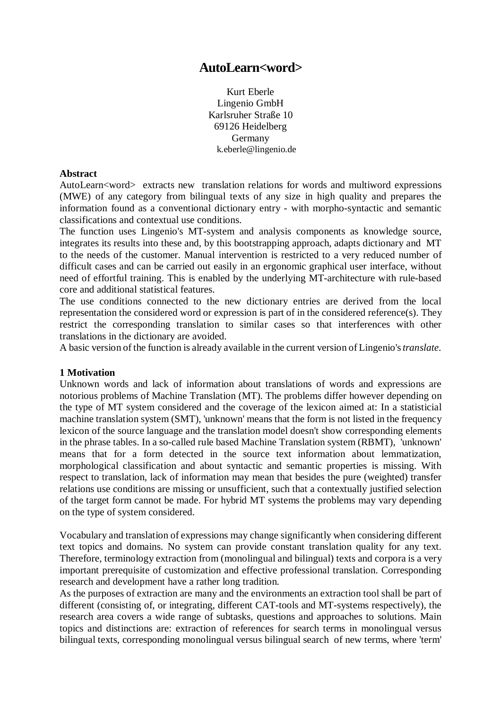# **AutoLearn<word>**

Kurt Eberle Lingenio GmbH Karlsruher Straße 10 69126 Heidelberg Germany k.eberle@lingenio.de

#### **Abstract**

AutoLearn<word> extracts new translation relations for words and multiword expressions (MWE) of any category from bilingual texts of any size in high quality and prepares the information found as a conventional dictionary entry - with morpho-syntactic and semantic classifications and contextual use conditions.

The function uses Lingenio's MT-system and analysis components as knowledge source, integrates its results into these and, by this bootstrapping approach, adapts dictionary and MT to the needs of the customer. Manual intervention is restricted to a very reduced number of difficult cases and can be carried out easily in an ergonomic graphical user interface, without need of effortful training. This is enabled by the underlying MT-architecture with rule-based core and additional statistical features.

The use conditions connected to the new dictionary entries are derived from the local representation the considered word or expression is part of in the considered reference(s). They restrict the corresponding translation to similar cases so that interferences with other translations in the dictionary are avoided.

A basic version of the function is already available in the current version of Lingenio's *translate*.

## **1 Motivation**

Unknown words and lack of information about translations of words and expressions are notorious problems of Machine Translation (MT). The problems differ however depending on the type of MT system considered and the coverage of the lexicon aimed at: In a statisticial machine translation system (SMT), 'unknown' means that the form is not listed in the frequency lexicon of the source language and the translation model doesn't show corresponding elements in the phrase tables. In a so-called rule based Machine Translation system (RBMT), 'unknown' means that for a form detected in the source text information about lemmatization, morphological classification and about syntactic and semantic properties is missing. With respect to translation, lack of information may mean that besides the pure (weighted) transfer relations use conditions are missing or unsufficient, such that a contextually justified selection of the target form cannot be made. For hybrid MT systems the problems may vary depending on the type of system considered.

Vocabulary and translation of expressions may change significantly when considering different text topics and domains. No system can provide constant translation quality for any text. Therefore, terminology extraction from (monolingual and bilingual) texts and corpora is a very important prerequisite of customization and effective professional translation. Corresponding research and development have a rather long tradition.

As the purposes of extraction are many and the environments an extraction tool shall be part of different (consisting of, or integrating, different CAT-tools and MT-systems respectively), the research area covers a wide range of subtasks, questions and approaches to solutions. Main topics and distinctions are: extraction of references for search terms in monolingual versus bilingual texts, corresponding monolingual versus bilingual search of new terms, where 'term'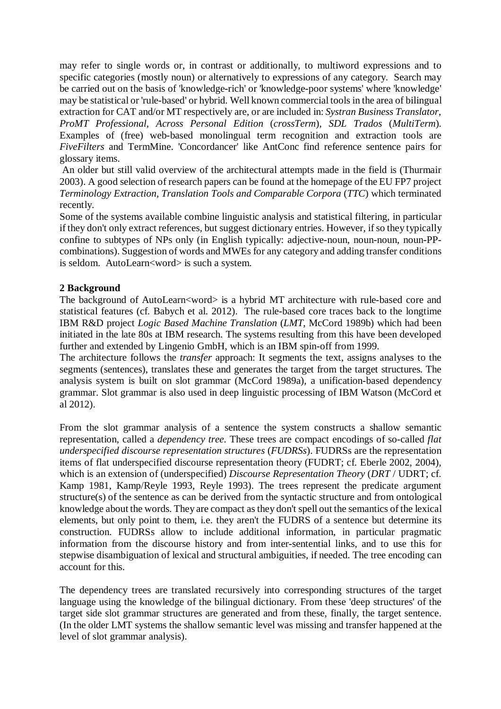may refer to single words or, in contrast or additionally, to multiword expressions and to specific categories (mostly noun) or alternatively to expressions of any category. Search may be carried out on the basis of 'knowledge-rich' or 'knowledge-poor systems' where 'knowledge' may be statistical or 'rule-based' or hybrid. Well known commercial tools in the area of bilingual extraction for CAT and/or MT respectively are, or are included in: *Systran Business Translator*, *ProMT Professional*, *Across Personal Edition* (*crossTerm*), *SDL Trados* (*MultiTerm*). Examples of (free) web-based monolingual term recognition and extraction tools are *FiveFilters* and TermMine. 'Concordancer' like AntConc find reference sentence pairs for glossary items.

An older but still valid overview of the architectural attempts made in the field is (Thurmair 2003). A good selection of research papers can be found at the homepage of the EU FP7 project *Terminology Extraction, Translation Tools and Comparable Corpora* (*TTC*) which terminated recently.

Some of the systems available combine linguistic analysis and statistical filtering, in particular if they don't only extract references, but suggest dictionary entries. However, if so they typically confine to subtypes of NPs only (in English typically: adjective-noun, noun-noun, noun-PPcombinations). Suggestion of words and MWEs for any category and adding transfer conditions is seldom. AutoLearn<word> is such a system.

## **2 Background**

The background of AutoLearn<word> is a hybrid MT architecture with rule-based core and statistical features (cf. Babych et al. 2012). The rule-based core traces back to the longtime IBM R&D project *Logic Based Machine Translation* (*LMT*, McCord 1989b) which had been initiated in the late 80s at IBM research. The systems resulting from this have been developed further and extended by Lingenio GmbH, which is an IBM spin-off from 1999.

The architecture follows the *transfer* approach: It segments the text, assigns analyses to the segments (sentences), translates these and generates the target from the target structures. The analysis system is built on slot grammar (McCord 1989a), a unification-based dependency grammar. Slot grammar is also used in deep linguistic processing of IBM Watson (McCord et al 2012).

From the slot grammar analysis of a sentence the system constructs a shallow semantic representation, called a *dependency tree*. These trees are compact encodings of so-called *flat underspecified discourse representation structures* (*FUDRSs*). FUDRSs are the representation items of flat underspecified discourse representation theory (FUDRT; cf. Eberle 2002, 2004), which is an extension of (underspecified) *Discourse Representation Theory* (*DRT* / UDRT; cf. Kamp 1981, Kamp/Reyle 1993, Reyle 1993). The trees represent the predicate argument structure(s) of the sentence as can be derived from the syntactic structure and from ontological knowledge about the words. They are compact as they don't spell out the semantics of the lexical elements, but only point to them, i.e. they aren't the FUDRS of a sentence but determine its construction. FUDRSs allow to include additional information, in particular pragmatic information from the discourse history and from inter-sentential links, and to use this for stepwise disambiguation of lexical and structural ambiguities, if needed. The tree encoding can account for this.

The dependency trees are translated recursively into corresponding structures of the target language using the knowledge of the bilingual dictionary. From these 'deep structures' of the target side slot grammar structures are generated and from these, finally, the target sentence. (In the older LMT systems the shallow semantic level was missing and transfer happened at the level of slot grammar analysis).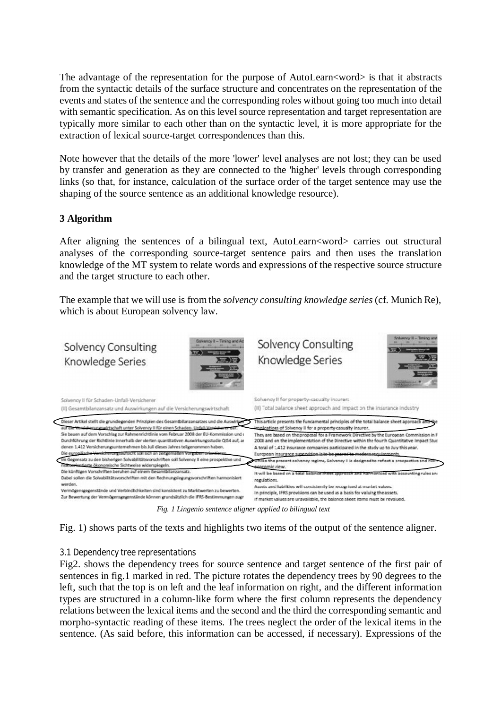The advantage of the representation for the purpose of AutoLearn<word> is that it abstracts from the syntactic details of the surface structure and concentrates on the representation of the events and states of the sentence and the corresponding roles without going too much into detail with semantic specification. As on this level source representation and target representation are typically more similar to each other than on the syntactic level, it is more appropriate for the extraction of lexical source-target correspondences than this.

Note however that the details of the more 'lower' level analyses are not lost; they can be used by transfer and generation as they are connected to the 'higher' levels through corresponding links (so that, for instance, calculation of the surface order of the target sentence may use the shaping of the source sentence as an additional knowledge resource).

## **3 Algorithm**

After aligning the sentences of a bilingual text, AutoLearn<word> carries out structural analyses of the corresponding source-target sentence pairs and then uses the translation knowledge of the MT system to relate words and expressions of the respective source structure and the target structure to each other.

The example that we will use is from the *solvency consulting knowledge series* (cf. Munich Re), which is about European solvency law.



*Fig. 1 Lingenio sentence aligner applied to bilingual text*

Fig. 1) shows parts of the texts and highlights two items of the output of the sentence aligner.

## *3.1 Dependency tree representations*

Fig2. shows the dependency trees for source sentence and target sentence of the first pair of sentences in fig.1 marked in red. The picture rotates the dependency trees by 90 degrees to the left, such that the top is on left and the leaf information on right, and the different information types are structured in a column-like form where the first column represents the dependency relations between the lexical items and the second and the third the corresponding semantic and morpho-syntactic reading of these items. The trees neglect the order of the lexical items in the sentence. (As said before, this information can be accessed, if necessary). Expressions of the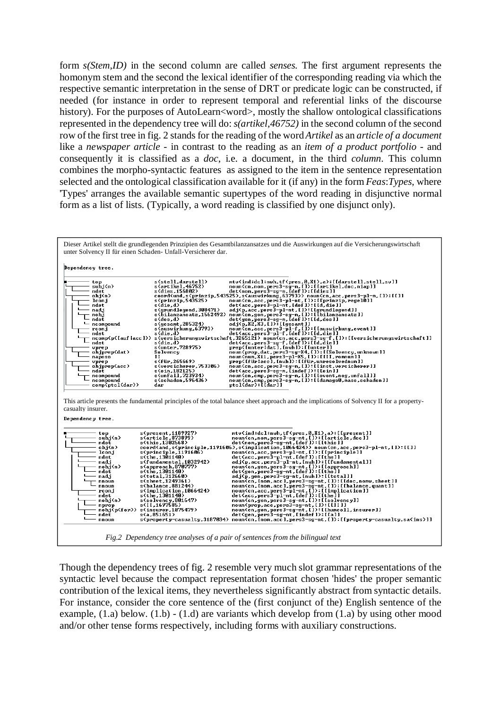form *s(Stem,ID)* in the second column are called *senses.* The first argument represents the homonym stem and the second the lexical identifier of the corresponding reading via which the respective semantic interpretation in the sense of DRT or predicate logic can be constructed, if needed (for instance in order to represent temporal and referential links of the discourse history). For the purposes of AutoLearn<word>, mostly the shallow ontological classifications represented in the dependency tree will do: *s(artikel,46752)* in the second column of the second row of the first tree in fig. 2 stands for the reading of the word *Artikel* as an *article of a document*  like a *newspaper article* - in contrast to the reading as an *item of a product portfolio* - and consequently it is classified as a *doc*, i.e. a document, in the third *column*. This column combines the morpho-syntactic features as assigned to the item in the sentence representation selected and the ontological classification available for it (if any) in the form *Feas*:*Types*, where 'Types' arranges the available semantic supertypes of the word reading in disjunctive normal form as a list of lists. (Typically, a word reading is classified by one disjunct only).



Though the dependency trees of fig. 2 resemble very much slot grammar representations of the syntactic level because the compact representation format chosen 'hides' the proper semantic contribution of the lexical items, they nevertheless significantly abstract from syntactic details. For instance, consider the core sentence of the (first conjunct of the) English sentence of the example,  $(1,a)$  below.  $(1,b)$  -  $(1,d)$  are variants which develop from  $(1,a)$  by using other mood and/or other tense forms respectively, including forms with auxiliary constructions.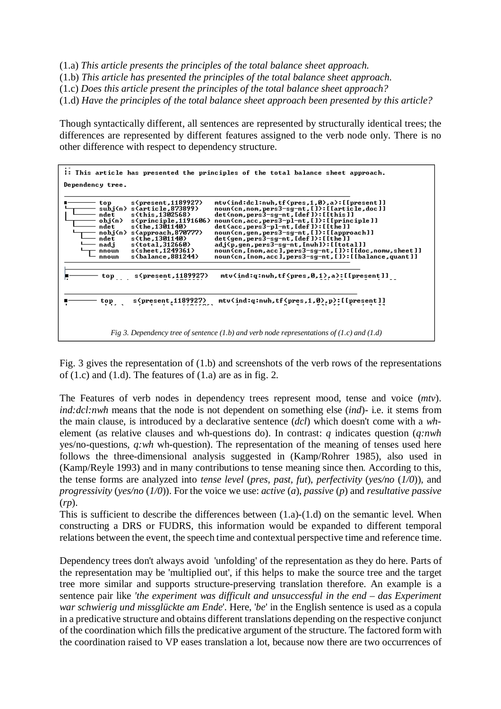(1.a) *This article presents the principles of the total balance sheet approach.*

(1.b) *This article has presented the principles of the total balance sheet approach.*

(1.c) *Does this article present the principles of the total balance sheet approach?*

(1.d) *Have the principles of the total balance sheet approach been presented by this article?*

Though syntactically different, all sentences are represented by structurally identical trees; the differences are represented by different features assigned to the verb node only. There is no other difference with respect to dependency structure.

| I: This article has presented the principles of the total balance sheet approach.                                                                                                                                                                                                                                                                                                                                                                                                                                                                                                                                                                                                                                                                                                                            |  |  |  |
|--------------------------------------------------------------------------------------------------------------------------------------------------------------------------------------------------------------------------------------------------------------------------------------------------------------------------------------------------------------------------------------------------------------------------------------------------------------------------------------------------------------------------------------------------------------------------------------------------------------------------------------------------------------------------------------------------------------------------------------------------------------------------------------------------------------|--|--|--|
| Dependency tree.                                                                                                                                                                                                                                                                                                                                                                                                                                                                                                                                                                                                                                                                                                                                                                                             |  |  |  |
| s(present, 1189927)<br>ntv(ind:dcl:nwh.tf(pres.1.0).a):[[present]]<br>top<br>noun(cn,nom,pers3-sg-nt,[]):[[article.doc]]<br>subj(n)<br>s(article.873899)<br>s(this.1302568)<br>det(nom, pers3-sg-nt, [def]): [[this]]<br>ndet<br>ob.j <n><br/>noun(cn, acc, pers3-pl-nt, []): [[principle]]<br/>s(principle,1191606)<br/>det(acc.pers3-pl-nt.[def]):[[the]]<br/>s(the.1301140)<br/>ndet<br/>noun(cn,gen,pers3-sg-nt,[]):[[approach]]<br/>nobj(n) s(approach,870777)<br/>s(the.1301140)<br/>det(gen,pers3-sg-nt, [def]): [[the]]<br/>ndet<br/>nad.i<br/>adj(p,gen,pers3-sg-nt,[nwh]):[[total]]<br/>s(total, 312660)<br/>s(sheet.1249361)<br/>noun(cn,[nom,acc],pers3-sg-nt,[]):[[doc,nomw,sheet]]<br/>nnoun<br/>noun(cn, [nom, acc], pers3-sg-nt, []): [[balance, quant]]<br/>s(balance,881244)<br/>nnoun</n> |  |  |  |
| mtv(ind:q:nwh,tf(pres,0,1),a):[[present]]<br>s(present,1189927)<br>top                                                                                                                                                                                                                                                                                                                                                                                                                                                                                                                                                                                                                                                                                                                                       |  |  |  |
| mtv(ind:q:nwh,tf(pres,1,0),p):[[present]]<br>s(present,1189927)<br>top.                                                                                                                                                                                                                                                                                                                                                                                                                                                                                                                                                                                                                                                                                                                                      |  |  |  |
| Fig 3. Dependency tree of sentence (1.b) and verb node representations of (1.c) and (1.d)                                                                                                                                                                                                                                                                                                                                                                                                                                                                                                                                                                                                                                                                                                                    |  |  |  |

Fig. 3 gives the representation of (1.b) and screenshots of the verb rows of the representations of  $(1.c)$  and  $(1.d)$ . The features of  $(1.a)$  are as in fig. 2.

The Features of verb nodes in dependency trees represent mood, tense and voice (*mtv*). *ind:dcl:nwh* means that the node is not dependent on something else (*ind*)- i.e. it stems from the main clause, is introduced by a declarative sentence (*dcl*) which doesn't come with a *wh*element (as relative clauses and wh-questions do). In contrast: *q* indicates question (*q:nwh* yes/no-questions, *q:wh* wh-question). The representation of the meaning of tenses used here follows the three-dimensional analysis suggested in (Kamp/Rohrer 1985), also used in (Kamp/Reyle 1993) and in many contributions to tense meaning since then. According to this, the tense forms are analyzed into *tense level* (*pres, past, fut*), *perfectivity* (*yes/no* (*1/0*)), and *progressivity* (*yes/no* (*1/0*)). For the voice we use: *active* (*a*), *passive* (*p*) and *resultative passive* (*rp*).

This is sufficient to describe the differences between (1.a)-(1.d) on the semantic level. When constructing a DRS or FUDRS, this information would be expanded to different temporal relations between the event, the speech time and contextual perspective time and reference time.

Dependency trees don't always avoid 'unfolding' of the representation as they do here. Parts of the representation may be 'multiplied out', if this helps to make the source tree and the target tree more similar and supports structure-preserving translation therefore. An example is a sentence pair like *'the experiment was difficult and unsuccessful in the end – das Experiment war schwierig und missglückte am Ende*'. Here, '*be*' in the English sentence is used as a copula in a predicative structure and obtains different translations depending on the respective conjunct of the coordination which fills the predicative argument of the structure. The factored form with the coordination raised to VP eases translation a lot, because now there are two occurrences of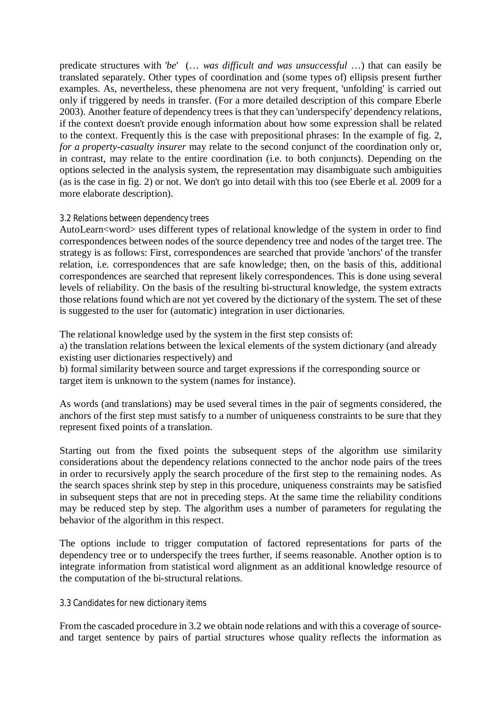predicate structures with '*be*' (… *was difficult and was unsuccessful* …) that can easily be translated separately. Other types of coordination and (some types of) ellipsis present further examples. As, nevertheless, these phenomena are not very frequent, 'unfolding' is carried out only if triggered by needs in transfer. (For a more detailed description of this compare Eberle 2003). Another feature of dependency trees is that they can 'underspecify' dependency relations, if the context doesn't provide enough information about how some expression shall be related to the context. Frequently this is the case with prepositional phrases: In the example of fig. 2, *for a property-casualty insurer* may relate to the second conjunct of the coordination only or, in contrast, may relate to the entire coordination (i.e. to both conjuncts). Depending on the options selected in the analysis system, the representation may disambiguate such ambiguities (as is the case in fig. 2) or not. We don't go into detail with this too (see Eberle et al. 2009 for a more elaborate description).

## *3.2 Relations between dependency trees*

AutoLearn<word> uses different types of relational knowledge of the system in order to find correspondences between nodes of the source dependency tree and nodes of the target tree. The strategy is as follows: First, correspondences are searched that provide 'anchors' of the transfer relation, i.e. correspondences that are safe knowledge; then, on the basis of this, additional correspondences are searched that represent likely correspondences. This is done using several levels of reliability. On the basis of the resulting bi-structural knowledge, the system extracts those relations found which are not yet covered by the dictionary of the system. The set of these is suggested to the user for (automatic) integration in user dictionaries.

The relational knowledge used by the system in the first step consists of:

a) the translation relations between the lexical elements of the system dictionary (and already existing user dictionaries respectively) and

b) formal similarity between source and target expressions if the corresponding source or target item is unknown to the system (names for instance).

As words (and translations) may be used several times in the pair of segments considered, the anchors of the first step must satisfy to a number of uniqueness constraints to be sure that they represent fixed points of a translation.

Starting out from the fixed points the subsequent steps of the algorithm use similarity considerations about the dependency relations connected to the anchor node pairs of the trees in order to recursively apply the search procedure of the first step to the remaining nodes. As the search spaces shrink step by step in this procedure, uniqueness constraints may be satisfied in subsequent steps that are not in preceding steps. At the same time the reliability conditions may be reduced step by step. The algorithm uses a number of parameters for regulating the behavior of the algorithm in this respect.

The options include to trigger computation of factored representations for parts of the dependency tree or to underspecify the trees further, if seems reasonable. Another option is to integrate information from statistical word alignment as an additional knowledge resource of the computation of the bi-structural relations.

## *3.3 Candidates for new dictionary items*

From the cascaded procedure in 3.2 we obtain node relations and with this a coverage of sourceand target sentence by pairs of partial structures whose quality reflects the information as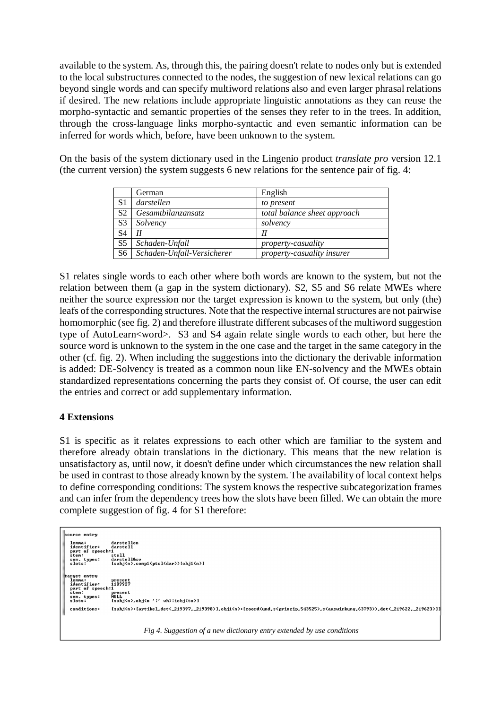available to the system. As, through this, the pairing doesn't relate to nodes only but is extended to the local substructures connected to the nodes, the suggestion of new lexical relations can go beyond single words and can specify multiword relations also and even larger phrasal relations if desired. The new relations include appropriate linguistic annotations as they can reuse the morpho-syntactic and semantic properties of the senses they refer to in the trees. In addition, through the cross-language links morpho-syntactic and even semantic information can be inferred for words which, before, have been unknown to the system.

On the basis of the system dictionary used in the Lingenio product *translate pro* version 12.1 (the current version) the system suggests 6 new relations for the sentence pair of fig. 4:

|                | German                     | English                      |
|----------------|----------------------------|------------------------------|
| S1             | darstellen                 | to present                   |
| S <sub>2</sub> | Gesamtbilanzansatz         | total balance sheet approach |
| S <sub>3</sub> | Solvency                   | solvency                     |
| S <sub>4</sub> | Н                          | Н                            |
| S <sub>5</sub> | Schaden-Unfall             | <i>property-casuality</i>    |
| S <sub>6</sub> | Schaden-Unfall-Versicherer | property-casuality insurer   |

S1 relates single words to each other where both words are known to the system, but not the relation between them (a gap in the system dictionary). S2, S5 and S6 relate MWEs where neither the source expression nor the target expression is known to the system, but only (the) leafs of the corresponding structures. Note that the respective internal structures are not pairwise homomorphic (see fig. 2) and therefore illustrate different subcases of the multiword suggestion type of AutoLearn<word>. S3 and S4 again relate single words to each other, but here the source word is unknown to the system in the one case and the target in the same category in the other (cf. fig. 2). When including the suggestions into the dictionary the derivable information is added: DE-Solvency is treated as a common noun like EN-solvency and the MWEs obtain standardized representations concerning the parts they consist of. Of course, the user can edit the entries and correct or add supplementary information.

## **4 Extensions**

S1 is specific as it relates expressions to each other which are familiar to the system and therefore already obtain translations in the dictionary. This means that the new relation is unsatisfactory as, until now, it doesn't define under which circumstances the new relation shall be used in contrast to those already known by the system. The availability of local context helps to define corresponding conditions: The system knows the respective subcategorization frames and can infer from the dependency trees how the slots have been filled. We can obtain the more complete suggestion of fig. 4 for S1 therefore:

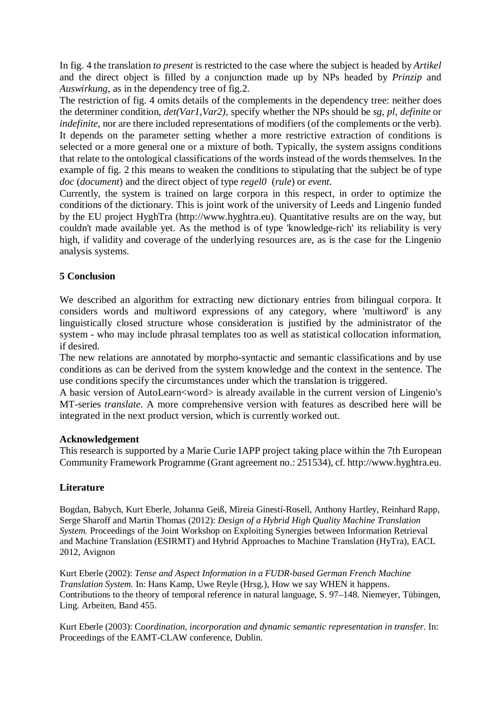In fig. 4 the translation *to present* is restricted to the case where the subject is headed by *Artikel* and the direct object is filled by a conjunction made up by NPs headed by *Prinzip* and *Auswirkung*, as in the dependency tree of fig.2.

The restriction of fig. 4 omits details of the complements in the dependency tree: neither does the determiner condition, *det(Var1,Var2)*, specify whether the NPs should be *sg, pl, definite* or *indefinite*, nor are there included representations of modifiers (of the complements or the verb). It depends on the parameter setting whether a more restrictive extraction of conditions is selected or a more general one or a mixture of both. Typically, the system assigns conditions that relate to the ontological classifications of the words instead of the words themselves. In the example of fig. 2 this means to weaken the conditions to stipulating that the subject be of type *doc* (*document*) and the direct object of type *regel0* (*rule*) or *event*.

Currently, the system is trained on large corpora in this respect, in order to optimize the conditions of the dictionary. This is joint work of the university of Leeds and Lingenio funded by the EU project HyghTra (http://www.hyghtra.eu). Quantitative results are on the way, but couldn't made available yet. As the method is of type 'knowledge-rich' its reliability is very high, if validity and coverage of the underlying resources are, as is the case for the Lingenio analysis systems.

## **5 Conclusion**

We described an algorithm for extracting new dictionary entries from bilingual corpora. It considers words and multiword expressions of any category, where 'multiword' is any linguistically closed structure whose consideration is justified by the administrator of the system - who may include phrasal templates too as well as statistical collocation information, if desired.

The new relations are annotated by morpho-syntactic and semantic classifications and by use conditions as can be derived from the system knowledge and the context in the sentence. The use conditions specify the circumstances under which the translation is triggered.

A basic version of AutoLearn<word> is already available in the current version of Lingenio's MT-series *translate*. A more comprehensive version with features as described here will be integrated in the next product version, which is currently worked out.

## **Acknowledgement**

This research is supported by a Marie Curie IAPP project taking place within the 7th European Community Framework Programme (Grant agreement no.: 251534), cf. http://www.hyghtra.eu.

## **Literature**

Bogdan, Babych, Kurt Eberle, Johanna Geiß, Mireia Ginestí-Rosell, Anthony Hartley, Reinhard Rapp, Serge Sharoff and Martin Thomas (2012): *Design of a Hybrid High Quality Machine Translation System.* Proceedings of the Joint Workshop on Exploiting Synergies between Information Retrieval and Machine Translation (ESIRMT) and Hybrid Approaches to Machine Translation (HyTra), EACL 2012, Avignon

Kurt Eberle (2002): *Tense and Aspect Information in a FUDR-based German French Machine Translation System.* In: Hans Kamp, Uwe Reyle (Hrsg.), How we say WHEN it happens. Contributions to the theory of temporal reference in natural language, S. 97–148. Niemeyer, Tübingen, Ling. Arbeiten, Band 455.

Kurt Eberle (2003): C*oordination, incorporation and dynamic semantic representation in transfer.* In: Proceedings of the EAMT-CLAW conference, Dublin.